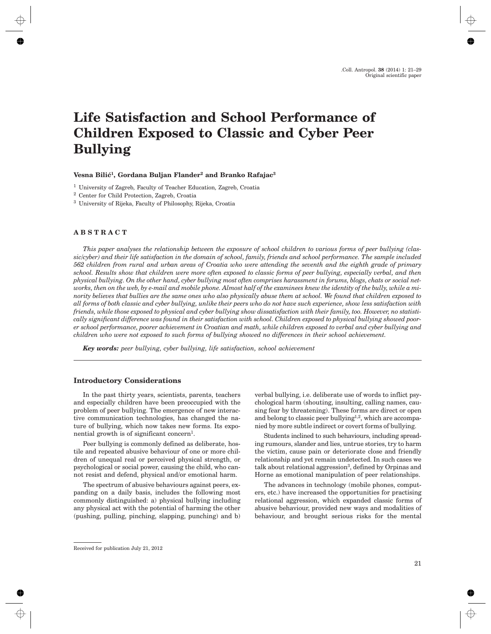# **Life Satisfaction and School Performance of Children Exposed to Classic and Cyber Peer Bullying**

## **Vesna Bili}1, Gordana Buljan Flander2 and Branko Rafajac3**

<sup>1</sup> University of Zagreb*,* Faculty of Teacher Education*,* Zagreb, Croatia

<sup>2</sup> Center for Child Protection, Zagreb, Croatia

<sup>3</sup> University of Rijeka, Faculty of Philosophy, Rijeka, Croatia

#### **ABSTRACT**

*This paper analyses the relationship between the exposure of school children to various forms of peer bullying (classic/cyber) and their life satisfaction in the domain of school, family, friends and school performance. The sample included 562 children from rural and urban areas of Croatia who were attending the seventh and the eighth grade of primary school. Results show that children were more often exposed to classic forms of peer bullying, especially verbal, and then physical bullying. On the other hand, cyber bullying most often comprises harassment in forums, blogs, chats or social networks, then on the web, by e-mail and mobile phone. Almost half of the examinees knew the identity of the bully, while a minority believes that bullies are the same ones who also physically abuse them at school. We found that children exposed to all forms of both classic and cyber bullying, unlike their peers who do not have such experience, show less satisfaction with friends, while those exposed to physical and cyber bullying show dissatisfaction with their family, too. However, no statistically significant difference was found in their satisfaction with school. Children exposed to physical bullying showed poorer school performance, poorer achievement in Croatian and math, while children exposed to verbal and cyber bullying and children who were not exposed to such forms of bullying showed no differences in their school achievement.*

*Key words: peer bullying, cyber bullying, life satisfaction, school achievement*

## **Introductory Considerations**

In the past thirty years, scientists, parents, teachers and especially children have been preoccupied with the problem of peer bullying. The emergence of new interactive communication technologies, has changed the nature of bullying, which now takes new forms. Its exponential growth is of significant concern<sup>1</sup>.

Peer bullying is commonly defined as deliberate, hostile and repeated abusive behaviour of one or more children of unequal real or perceived physical strength, or psychological or social power, causing the child, who cannot resist and defend, physical and/or emotional harm.

The spectrum of abusive behaviours against peers, expanding on a daily basis, includes the following most commonly distinguished: a) physical bullying including any physical act with the potential of harming the other (pushing, pulling, pinching, slapping, punching) and b) verbal bullying, i.e. deliberate use of words to inflict psychological harm (shouting, insulting, calling names, causing fear by threatening). These forms are direct or open and belong to classic peer bullying<sup>1,2</sup>, which are accompanied by more subtle indirect or covert forms of bullying.

Students inclined to such behaviours, including spreading rumours, slander and lies, untrue stories, try to harm the victim, cause pain or deteriorate close and friendly relationship and yet remain undetected. In such cases we talk about relational aggression<sup>3</sup>, defined by Orpinas and Horne as emotional manipulation of peer relationships.

The advances in technology (mobile phones, computers, etc.) have increased the opportunities for practising relational aggression, which expanded classic forms of abusive behaviour, provided new ways and modalities of behaviour, and brought serious risks for the mental

Received for publication July 21, 2012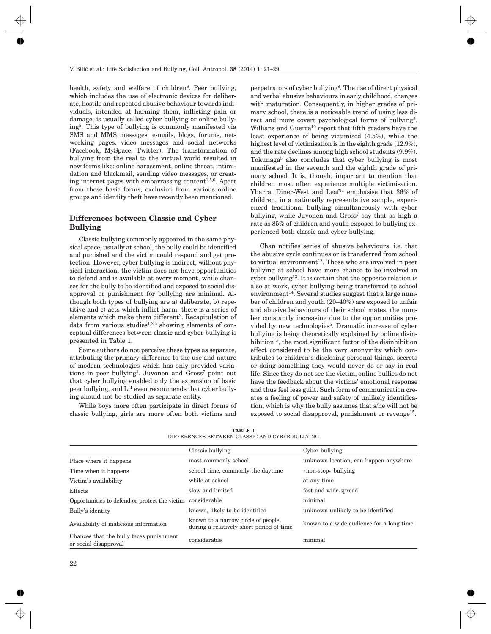health, safety and welfare of children $6$ . Peer bullying, which includes the use of electronic devices for deliberate, hostile and repeated abusive behaviour towards individuals, intended at harming them, inflicting pain or damage, is usually called cyber bullying or online bullying5. This type of bullying is commonly manifested via SMS and MMS messages, e-mails, blogs, forums, networking pages, video messages and social networks (Facebook, MySpace, Twitter). The transformation of bullying from the real to the virtual world resulted in new forms like: online harassment, online threat, intimidation and blackmail, sending video messages, or creating internet pages with embarrassing content<sup>1,5,6</sup>. Apart from these basic forms, exclusion from various online groups and identity theft have recently been mentioned.

# **Differences between Classic and Cyber Bullying**

Classic bullying commonly appeared in the same physical space, usually at school, the bully could be identified and punished and the victim could respond and get protection. However, cyber bullying is indirect, without physical interaction, the victim does not have opportunities to defend and is available at every moment, while chances for the bully to be identified and exposed to social disapproval or punishment for bullying are minimal. Although both types of bullying are a) deliberate, b) repetitive and c) acts which inflict harm, there is a series of elements which make them different<sup>2</sup>. Recapitulation of data from various studies<sup>1,2,5</sup> showing elements of conceptual differences between classic and cyber bullying is presented in Table 1.

Some authors do not perceive these types as separate, attributing the primary difference to the use and nature of modern technologies which has only provided variations in peer bullying<sup>1</sup>. Juvonen and  $Gross<sup>7</sup>$  point out that cyber bullying enabled only the expansion of basic peer bullying, and Li<sup>1</sup> even recommends that cyber bullying should not be studied as separate entity.

While boys more often participate in direct forms of classic bullying, girls are more often both victims and

perpetrators of cyber bullying8. The use of direct physical and verbal abusive behaviours in early childhood, changes with maturation. Consequently, in higher grades of primary school, there is a noticeable trend of using less direct and more covert psychological forms of bullying<sup>9</sup>. Willians and Guerra<sup>10</sup> report that fifth graders have the least experience of being victimised (4.5%), while the highest level of victimisation is in the eighth grade (12.9%), and the rate declines among high school students (9.9%). Tokunaga<sup>5</sup> also concludes that cyber bullying is most manifested in the seventh and the eighth grade of primary school. It is, though, important to mention that children most often experience multiple victimisation. Ybarra, Diner-West and Leaf<sup>11</sup> emphasise that 36% of children, in a nationally representative sample, experienced traditional bullying simultaneously with cyber bullying, while Juvonen and  $Gross<sup>7</sup>$  say that as high a rate as 85% of children and youth exposed to bullying experienced both classic and cyber bullying.

Chan notifies series of abusive behaviours, i.e. that the abusive cycle continues or is transferred from school to virtual environment<sup>12</sup>. Those who are involved in peer bullying at school have more chance to be involved in cyber bullying13. It is certain that the opposite relation is also at work, cyber bullying being transferred to school environment<sup>14</sup>. Several studies suggest that a large number of children and youth (20–40%) are exposed to unfair and abusive behaviours of their school mates, the number constantly increasing due to the opportunities provided by new technologies<sup>5</sup>. Dramatic increase of cyber bullying is being theoretically explained by online disinhibition<sup>15</sup>, the most significant factor of the disinhibition effect considered to be the very anonymity which contributes to children's disclosing personal things, secrets or doing something they would never do or say in real life. Since they do not see the victim, online bullies do not have the feedback about the victims' emotional response and thus feel less guilt. Such form of communication creates a feeling of power and safety of unlikely identification, which is why the bully assumes that s/he will not be exposed to social disapproval, punishment or revenge<sup>15</sup>.

|                                                                  | Classic bullying                                                               | Cyber bullying                           |
|------------------------------------------------------------------|--------------------------------------------------------------------------------|------------------------------------------|
| Place where it happens                                           | most commonly school                                                           | unknown location, can happen anywhere    |
| Time when it happens                                             | school time, commonly the daytime                                              | » non-stop« bullying                     |
| Victim's availability                                            | while at school                                                                | at any time                              |
| Effects                                                          | slow and limited                                                               | fast and wide-spread                     |
| Opportunities to defend or protect the victim                    | considerable                                                                   | minimal                                  |
| Bully's identity                                                 | known, likely to be identified                                                 | unknown unlikely to be identified        |
| Availability of malicious information                            | known to a narrow circle of people<br>during a relatively short period of time | known to a wide audience for a long time |
| Chances that the bully faces punishment<br>or social disapproval | considerable                                                                   | minimal                                  |

**TABLE 1** DIFFERENCES BETWEEN CLASSIC AND CYBER BULLYING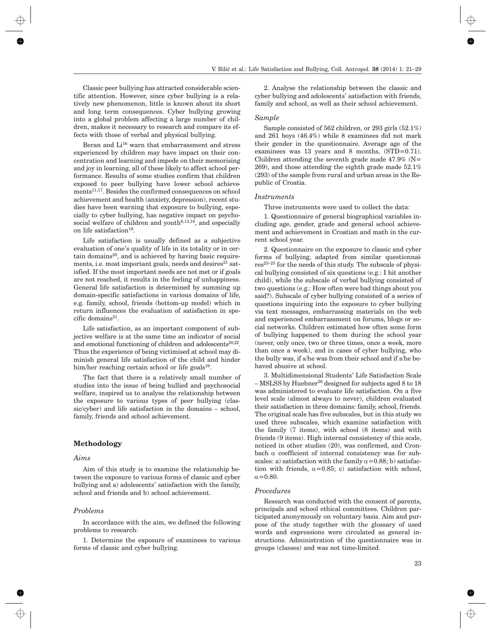Classic peer bullying has attracted considerable scientific attention. However, since cyber bullying is a relatively new phenomenon, little is known about its short and long term consequences. Cyber bullying growing into a global problem affecting a large number of children, makes it necessary to research and compare its effects with those of verbal and physical bullying.

Beran and  $Li^{16}$  warn that embarrassment and stress experienced by children may have impact on their concentration and learning and impede on their memorising and joy in learning, all of these likely to affect school performance. Results of some studies confirm that children exposed to peer bullying have lower school achievements11,17. Besides the confirmed consequences on school achievement and health (anxiety, depression), recent studies have been warning that exposure to bullying, especially to cyber bullying, has negative impact on psychosocial welfare of children and youth $6,13,18$ , and especially on life satisfaction<sup>19</sup>.

Life satisfaction is usually defined as a subjective evaluation of one's quality of life in its totality or in certain domains $20$ , and is achieved by having basic requirements, i.e. most important goals, needs and desires $21$  satisfied. If the most important needs are not met or if goals are not reached, it results in the feeling of unhappiness. General life satisfaction is determined by summing up domain-specific satisfactions in various domains of life, e.g. family, school, friends (bottom-up model) which in return influences the evaluation of satisfaction in specific domains $21$ .

Life satisfaction, as an important component of subjective welfare is at the same time an indicator of social and emotional functioning of children and adolescents $20,22$ . Thus the experience of being victimised at school may diminish general life satisfaction of the child and hinder him/her reaching certain school or life goals<sup>19</sup>.

The fact that there is a relatively small number of studies into the issue of being bullied and psychosocial welfare, inspired us to analyse the relationship between the exposure to various types of peer bullying (classic/cyber) and life satisfaction in the domains – school, family, friends and school achievement.

#### **Methodology**

## *Aims*

Aim of this study is to examine the relationship between the exposure to various forms of classic and cyber bullying and a) adolescents' satisfaction with the family, school and friends and b) school achievement.

#### *Problems*

In accordance with the aim, we defined the following problems to research:

1. Determine the exposure of examinees to various forms of classic and cyber bullying.

2. Analyse the relationship between the classic and cyber bullying and adolescents' satisfaction with friends, family and school, as well as their school achievement.

#### *Sample*

Sample consisted of 562 children, or 293 girls (52.1%) and 261 boys (46.4%) while 8 examinees did not mark their gender in the questionnaire. Average age of the examinees was 13 years and 8 months, (STD=0.71). Children attending the seventh grade made  $47.9\%$  (N= 269), and those attending the eighth grade made 52.1% (293) of the sample from rural and urban areas in the Republic of Croatia.

#### *Instruments*

Three instruments were used to collect the data:

1. Questionnaire of general biographical variables including age, gender, grade and general school achievement and achievement in Croatian and math in the current school year.

2. Questionnaire on the exposure to classic and cyber forms of bullying, adapted from similar questionnaires23–25 for the needs of this study. The subscale of physical bullying consisted of six questions (e.g.: I hit another child), while the subscale of verbal bullying consisted of two questions (e.g.: How often were bad things about you said?). Subscale of cyber bullying consisted of a series of questions inquiring into the exposure to cyber bullying via text messages, embarrassing materials on the web and experienced embarrassment on forums, blogs or social networks. Children estimated how often some form of bullying happened to them during the school year (never, only once, two or three times, once a week, more than once a week), and in cases of cyber bullying, who the bully was, if s/he was from their school and if s/he behaved abusive at school.

3. Multidimensional Students' Life Satisfaction Scale – MSLSS by Huebner26 designed for subjects aged 8 to 18 was administered to evaluate life satisfaction. On a five level scale (almost always to never), children evaluated their satisfaction in three domains: family, school, friends. The original scale has five subscales, but in this study we used three subscales, which examine satisfaction with the family (7 items), with school (8 items) and with friends (9 items). High internal consistency of this scale, noticed in other studies (20), was confirmed, and Cronbach  $\alpha$  coefficient of internal consistency was for subscales: a) satisfaction with the family  $\alpha$  = 0.88; b) satisfaction with friends,  $\alpha$ =0.85; c) satisfaction with school,  $\alpha$ =0.80.

#### *Procedures*

Research was conducted with the consent of parents, principals and school ethical committees. Children participated anonymously on voluntary basis. Aim and purpose of the study together with the glossary of used words and expressions were circulated as general instructions. Administration of the questionnaire was in groups (classes) and was not time-limited.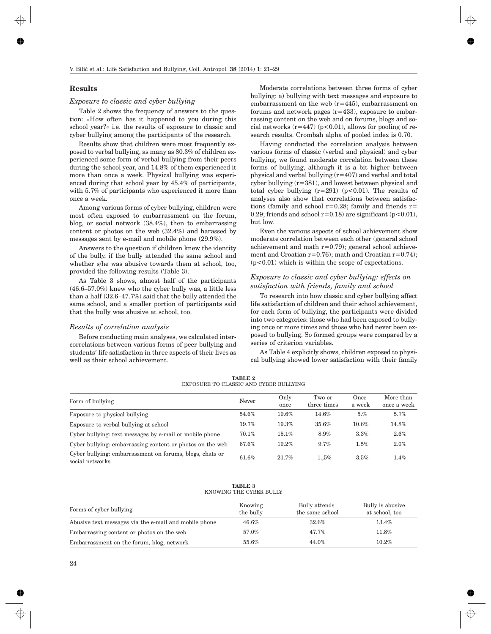#### **Results**

## *Exposure to classic and cyber bullying*

Table 2 shows the frequency of answers to the question: »How often has it happened to you during this school year?« i.e. the results of exposure to classic and cyber bullying among the participants of the research.

Results show that children were most frequently exposed to verbal bullying, as many as 80.3% of children experienced some form of verbal bullying from their peers during the school year, and 14.8% of them experienced it more than once a week. Physical bullying was experienced during that school year by 45.4% of participants, with 5.7% of participants who experienced it more than once a week.

Among various forms of cyber bullying, children were most often exposed to embarrassment on the forum, blog, or social network (38.4%), then to embarrassing content or photos on the web (32.4%) and harassed by messages sent by e-mail and mobile phone (29.9%).

Answers to the question if children knew the identity of the bully, if the bully attended the same school and whether s/he was abusive towards them at school, too, provided the following results (Table 3).

As Table 3 shows, almost half of the participants (46.6–57.0%) knew who the cyber bully was, a little less than a half (32.6–47.7%) said that the bully attended the same school, and a smaller portion of participants said that the bully was abusive at school, too.

## *Results of correlation analysis*

Before conducting main analyses, we calculated intercorrelations between various forms of peer bullying and students' life satisfaction in three aspects of their lives as well as their school achievement.

Moderate correlations between three forms of cyber bullying: a) bullying with text messages and exposure to embarrassment on the web (r=445), embarrassment on forums and network pages  $(r=433)$ , exposure to embarrassing content on the web and on forums, blogs and social networks  $(r=447)$  ( $p<0.01$ ), allows for pooling of research results. Crombah alpha of pooled index is 0.70.

Having conducted the correlation analysis between various forms of classic (verbal and physical) and cyber bullying, we found moderate correlation between these forms of bullying, although it is a bit higher between physical and verbal bullying (r=407) and verbal and total cyber bullying (r=381), and lowest between physical and total cyber bullying  $(r=291)$   $(p<0.01)$ . The results of analyses also show that correlations between satisfactions (family and school  $r=0.28$ ; family and friends  $r=$ 0.29; friends and school  $r=0.18$ ) are significant ( $p<0.01$ ), but low.

Even the various aspects of school achievement show moderate correlation between each other (general school achievement and math  $r=0.79$ ; general school achievement and Croatian  $r=0.76$ ; math and Croatian  $r=0.74$ ; (p<0.01) which is within the scope of expectations.

## *Exposure to classic and cyber bullying: effects on satisfaction with friends, family and school*

To research into how classic and cyber bullying affect life satisfaction of children and their school achievement, for each form of bullying, the participants were divided into two categories: those who had been exposed to bullying once or more times and those who had never been exposed to bullying. So formed groups were compared by a series of criterion variables.

As Table 4 explicitly shows, children exposed to physical bullying showed lower satisfaction with their family

| TABLE 2                                |  |  |  |
|----------------------------------------|--|--|--|
| EXPOSURE TO CLASSIC AND CYBER BULLYING |  |  |  |

| Form of bullying                                                            | Never | Only<br>once | Two or<br>three times | Once<br>a week | More than<br>once a week |
|-----------------------------------------------------------------------------|-------|--------------|-----------------------|----------------|--------------------------|
| Exposure to physical bullying                                               | 54.6% | 19.6%        | 14.6%                 | 5.%            | $5.7\%$                  |
| Exposure to verbal bullying at school                                       | 19.7% | 19.3%        | 35.6%                 | 10.6%          | $14.8\%$                 |
| Cyber bullying: text messages by e-mail or mobile phone                     | 70.1% | $15.1\%$     | 8.9%                  | 3.3%           | 2.6%                     |
| Cyber bullying: embarrassing content or photos on the web                   | 67.6% | 19.2%        | 9.7%                  | 1.5%           | 2.0%                     |
| Cyber bullying: embarrassment on forums, blogs, chats or<br>social networks | 61.6% | 21.7%        | 1.5%                  | 3.5%           | $1.4\%$                  |

#### **TABLE 3** KNOWING THE CYBER BULLY

| Forms of cyber bullying                               | Knowing<br>the bully | Bully attends<br>the same school | Bully is abusive<br>at school, too |
|-------------------------------------------------------|----------------------|----------------------------------|------------------------------------|
| Abusive text messages via the e-mail and mobile phone | $46.6\%$             | 32.6%                            | $13.4\%$                           |
| Embarrassing content or photos on the web             | 57.0%                | 47.7%                            | $11.8\%$                           |
| Embarrassment on the forum, blog, network             | 55.6%                | 44.0%                            | $10.2\%$                           |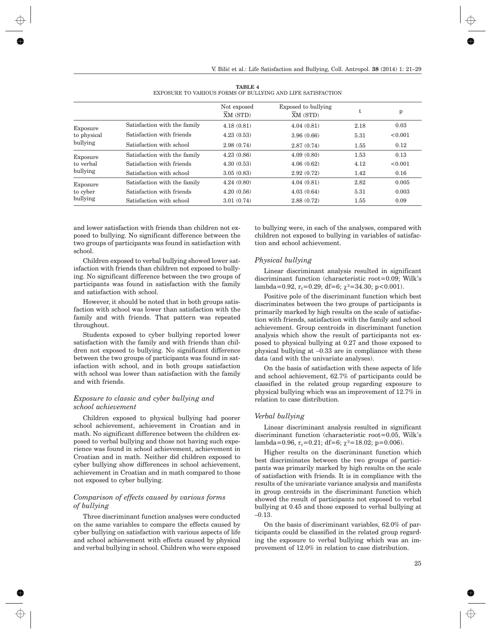|                                   |                              | Not exposed<br>XM (STD) | Exposed to bullying<br>XM (STD) | t    | p       |
|-----------------------------------|------------------------------|-------------------------|---------------------------------|------|---------|
| Exposure                          | Satisfaction with the family | 4.18(0.81)              | 4.04(0.81)                      | 2.18 | 0.03    |
| to physical                       | Satisfaction with friends    | 4.23(0.53)              | 3.96(0.66)                      | 5.31 | < 0.001 |
| bullying                          | Satisfaction with school     | 2.98(0.74)              | 2.87(0.74)                      | 1.55 | 0.12    |
| Exposure<br>to verbal<br>bullying | Satisfaction with the family | 4.23(0.86)              | 4.09(0.80)                      | 1.53 | 0.13    |
|                                   | Satisfaction with friends    | 4.30(0.53)              | 4.06(0.62)                      | 4.12 | < 0.001 |
|                                   | Satisfaction with school     | 3.05(0.83)              | 2.92(0.72)                      | 1.42 | 0.16    |
| Exposure<br>to cyber<br>bullying  | Satisfaction with the family | 4.24(0.80)              | 4.04(0.81)                      | 2.82 | 0.005   |
|                                   | Satisfaction with friends    | 4.20(0.56)              | 4.03(0.64)                      | 5.31 | 0.003   |
|                                   | Satisfaction with school     | 3.01(0.74)              | 2.88(0.72)                      | 1.55 | 0.09    |

**TABLE 4** EXPOSURE TO VARIOUS FORMS OF BULLYING AND LIFE SATISFACTION

and lower satisfaction with friends than children not exposed to bullying. No significant difference between the two groups of participants was found in satisfaction with school.

Children exposed to verbal bullying showed lower satisfaction with friends than children not exposed to bullying. No significant difference between the two groups of participants was found in satisfaction with the family and satisfaction with school.

However, it should be noted that in both groups satisfaction with school was lower than satisfaction with the family and with friends. That pattern was repeated throughout.

Students exposed to cyber bullying reported lower satisfaction with the family and with friends than children not exposed to bullying. No significant difference between the two groups of participants was found in satisfaction with school, and in both groups satisfaction with school was lower than satisfaction with the family and with friends.

# *Exposure to classic and cyber bullying and school achievement*

Children exposed to physical bullying had poorer school achievement, achievement in Croatian and in math. No significant difference between the children exposed to verbal bullying and those not having such experience was found in school achievement, achievement in Croatian and in math. Neither did children exposed to cyber bullying show differences in school achievement, achievement in Croatian and in math compared to those not exposed to cyber bullying.

# *Comparison of effects caused by various forms of bullying*

Three discriminant function analyses were conducted on the same variables to compare the effects caused by cyber bullying on satisfaction with various aspects of life and school achievement with effects caused by physical and verbal bullying in school. Children who were exposed to bullying were, in each of the analyses, compared with children not exposed to bullying in variables of satisfaction and school achievement.

## *Physical bullying*

Linear discriminant analysis resulted in significant discriminant function (characteristic root=0.09; Wilk's lambda=0.92,  $r_c$ =0.29; df=6;  $\gamma$ <sup>2</sup>=34.30; p<0.001).

Positive pole of the discriminant function which best discriminates between the two groups of participants is primarily marked by high results on the scale of satisfaction with friends, satisfaction with the family and school achievement. Group centroids in discriminant function analysis which show the result of participants not exposed to physical bullying at 0.27 and those exposed to physical bullying at –0.33 are in compliance with these data (and with the univariate analyses).

On the basis of satisfaction with these aspects of life and school achievement, 62.7% of participants could be classified in the related group regarding exposure to physical bullying which was an improvement of 12.7% in relation to case distribution.

## *Verbal bullying*

Linear discriminant analysis resulted in significant discriminant function (characteristic root=0.05, Wilk's lambda=0.96, r<sub>c</sub>=0.21; df=6;  $\gamma^2$ =18.02; p=0.006).

Higher results on the discriminant function which best discriminates between the two groups of participants was primarily marked by high results on the scale of satisfaction with friends. It is in compliance with the results of the univariate variance analysis and manifests in group centroids in the discriminant function which showed the result of participants not exposed to verbal bullying at 0.45 and those exposed to verbal bullying at –0.13.

On the basis of discriminant variables, 62.0% of participants could be classified in the related group regarding the exposure to verbal bullying which was an improvement of 12.0% in relation to case distribution.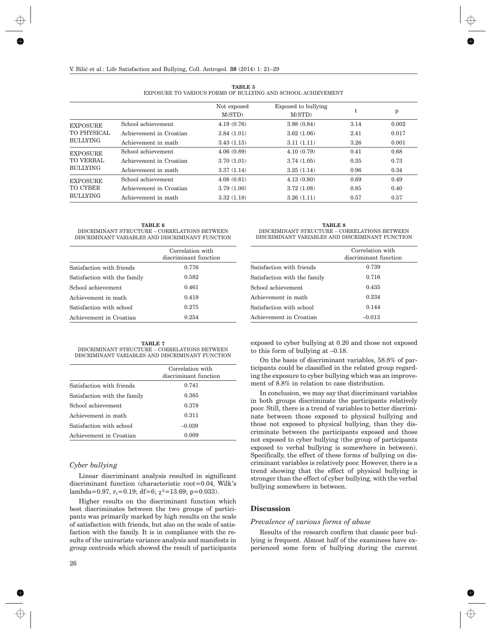| EXPOSURE TO VARIOUS FORMS OF BULLYING AND SCHOOL ACHIEVEMENT |                         |                       |                               |      |       |
|--------------------------------------------------------------|-------------------------|-----------------------|-------------------------------|------|-------|
|                                                              |                         | Not exposed<br>M(STD) | Exposed to bullying<br>M(STD) | t.   | p     |
| EXPOSURE                                                     | School achievement      | 4.19(0.76)            | 3.98(0.84)                    | 3.14 | 0.002 |
| TO PHYSICAL                                                  | Achievement in Croatian | 3.84(1.01)            | 3.62(1.06)                    | 2.41 | 0.017 |
| BULLYING                                                     | Achievement in math     | 3.43(1.15)            | 3.11(1.11)                    | 3.26 | 0.001 |
| <b>EXPOSURE</b>                                              | School achievement      | 4.06(0.89)            | 4.10(0.79)                    | 0.41 | 0.68  |
| TO VERBAL                                                    | Achievement in Croatian | 3.70(1.01)            | 3.74(1.05)                    | 0.35 | 0.73  |
| BULLYING                                                     | Achievement in math     | 3.37(1.14)            | 3.25(1.14)                    | 0.96 | 0.34  |
| EXPOSURE                                                     | School achievement      | 4.08(0.81)            | 4.13(0.80)                    | 0.69 | 0.49  |
| TO CYBER                                                     | Achievement in Croatian | 3.79(1.00)            | 3.72(1.08)                    | 0.85 | 0.40  |
| BULLYING                                                     | Achievement in math     | 3.32(1.18)            | 3.26(1.11)                    | 0.57 | 0.57  |

**TABLE 5**

**TABLE 6** DISCRIMINANT STRUCTURE – CORRELATIONS BETWEEN DISCRIMINANT VARIABLES AND DISCRIMINANT FUNCTION

|                              | Correlation with<br>discriminant function |
|------------------------------|-------------------------------------------|
| Satisfaction with friends    | 0.776                                     |
| Satisfaction with the family | 0.582                                     |
| School achievement           | 0.461                                     |
| Achievement in math          | 0.419                                     |
| Satisfaction with school     | 0.275                                     |
| Achievement in Croatian      | 0.254                                     |

**TABLE 7** DISCRIMINANT STRUCTURE – CORRELATIONS BETWEEN DISCRIMINANT VARIABLES AND DISCRIMINANT FUNCTION

|                              | Correlation with<br>discriminant function |
|------------------------------|-------------------------------------------|
| Satisfaction with friends    | 0.741                                     |
| Satisfaction with the family | 0.385                                     |
| School achievement           | 0.378                                     |
| Achievement in math          | 0.311                                     |
| Satisfaction with school     | $-0.039$                                  |
| Achievement in Croatian      | 0.009                                     |

# *Cyber bullying*

Linear discriminant analysis resulted in significant discriminant function (characteristic root=0.04, Wilk's lambda=0.97, r<sub>c</sub>=0.19; df=6;  $\chi^2$ =13.69; p=0.033).

Higher results on the discriminant function which best discriminates between the two groups of participants was primarily marked by high results on the scale of satisfaction with friends, but also on the scale of satisfaction with the family. It is in compliance with the results of the univariate variance analysis and manifests in group centroids which showed the result of participants

| <b>TABLE 8</b>                                   |
|--------------------------------------------------|
| DISCRIMINANT STRUCTURE – CORRELATIONS BETWEEN    |
| DISCRIMINANT VARIABLES AND DISCRIMINANT FUNCTION |

|                              | Correlation with<br>discriminant function |
|------------------------------|-------------------------------------------|
| Satisfaction with friends    | 0.739                                     |
| Satisfaction with the family | 0.716                                     |
| School achievement           | 0.435                                     |
| Achievement in math          | 0.234                                     |
| Satisfaction with school     | 0.144                                     |
| Achievement in Croatian      | $-0.013$                                  |

exposed to cyber bullying at 0.20 and those not exposed to this form of bullying at –0.18.

On the basis of discriminant variables, 58.8% of participants could be classified in the related group regarding the exposure to cyber bullying which was an improvement of 8.8% in relation to case distribution.

In conclusion, we may say that discriminant variables in both groups discriminate the participants relatively poor. Still, there is a trend of variables to better discriminate between those exposed to physical bullying and those not exposed to physical bullying, than they discriminate between the participants exposed and those not exposed to cyber bullying (the group of participants exposed to verbal bullying is somewhere in between). Specifically, the effect of these forms of bullying on discriminant variables is relatively poor. However, there is a trend showing that the effect of physical bullying is stronger than the effect of cyber bullying, with the verbal bullying somewhere in between.

## **Discussion**

#### *Prevalence of various forms of abuse*

Results of the research confirm that classic peer bullying is frequent. Almost half of the examinees have experienced some form of bullying during the current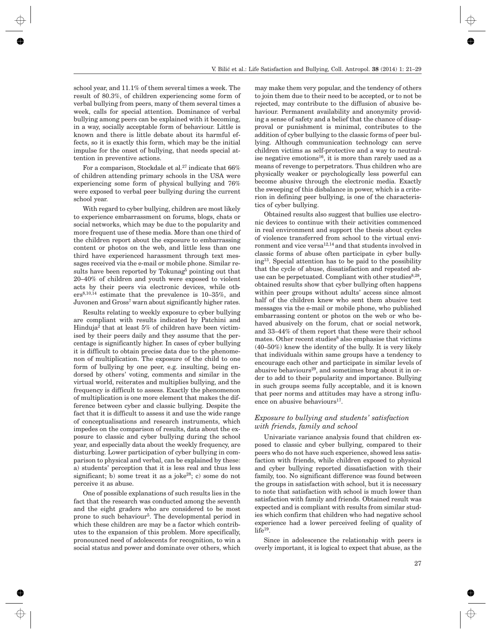school year, and 11.1% of them several times a week. The result of 80.3%, of children experiencing some form of verbal bullying from peers, many of them several times a week, calls for special attention. Dominance of verbal bullying among peers can be explained with it becoming, in a way, socially acceptable form of behaviour. Little is known and there is little debate about its harmful effects, so it is exactly this form, which may be the initial impulse for the onset of bullying, that needs special attention in preventive actions.

For a comparison, Stockdale et al.<sup>27</sup> indicate that 66% of children attending primary schools in the USA were experiencing some form of physical bullying and 76% were exposed to verbal peer bullying during the current school year.

With regard to cyber bullying, children are most likely to experience embarrassment on forums, blogs, chats or social networks, which may be due to the popularity and more frequent use of these media. More than one third of the children report about the exposure to embarrassing content or photos on the web, and little less than one third have experienced harassment through text messages received via the e-mail or mobile phone. Similar results have been reported by Tokunag<sup>5</sup> pointing out that 20–40% of children and youth were exposed to violent acts by their peers via electronic devices, while others8,10,14 estimate that the prevalence is 10–35%, and Juvonen and Gross<sup>7</sup> warn about significantly higher rates.

Results relating to weekly exposure to cyber bullying are compliant with results indicated by Patchini and Hinduja2 that at least 5% of children have been victimised by their peers daily and they assume that the percentage is significantly higher. In cases of cyber bullying it is difficult to obtain precise data due to the phenomenon of multiplication. The exposure of the child to one form of bullying by one peer, e.g. insulting, being endorsed by others' voting, comments and similar in the virtual world, reiterates and multiplies bullying, and the frequency is difficult to assess. Exactly the phenomenon of multiplication is one more element that makes the difference between cyber and classic bullying. Despite the fact that it is difficult to assess it and use the wide range of conceptualisations and research instruments, which impedes on the comparison of results, data about the exposure to classic and cyber bullying during the school year, and especially data about the weekly frequency, are disturbing. Lower participation of cyber bullying in comparison to physical and verbal, can be explained by these: a) students' perception that it is less real and thus less significant; b) some treat it as a joke<sup>28</sup>; c) some do not perceive it as abuse.

One of possible explanations of such results lies in the fact that the research was conducted among the seventh and the eight graders who are considered to be most prone to such behaviour<sup>5</sup>. The developmental period in which these children are may be a factor which contributes to the expansion of this problem. More specifically, pronounced need of adolescents for recognition, to win a social status and power and dominate over others, which may make them very popular, and the tendency of others to join them due to their need to be accepted, or to not be rejected, may contribute to the diffusion of abusive behaviour. Permanent availability and anonymity providing a sense of safety and a belief that the chance of disapproval or punishment is minimal, contributes to the addition of cyber bullying to the classic forms of peer bullying. Although communication technology can serve children victims as self-protective and a way to neutralise negative emotions<sup>16</sup>, it is more than rarely used as a means of revenge to perpetrators. Thus children who are physically weaker or psychologically less powerful can become abusive through the electronic media. Exactly the sweeping of this disbalance in power, which is a criterion in defining peer bullying, is one of the characteristics of cyber bullying.

Obtained results also suggest that bullies use electronic devices to continue with their activities commenced in real environment and support the thesis about cycles of violence transferred from school to the virtual environment and vice versa<sup>12,14</sup> and that students involved in classic forms of abuse often participate in cyber bullying13. Special attention has to be paid to the possibility that the cycle of abuse, dissatisfaction and repeated abuse can be perpetuated. Compliant with other studies $8,28$ , obtained results show that cyber bullying often happens within peer groups without adults' access since almost half of the children knew who sent them abusive test messages via the e-mail or mobile phone, who published embarrassing content or photos on the web or who behaved abusively on the forum, chat or social network, and 33–44% of them report that these were their school mates. Other recent studies<sup>8</sup> also emphasise that victims (40–50%) knew the identity of the bully. It is very likely that individuals within same groups have a tendency to encourage each other and participate in similar levels of abusive behaviours<sup>29</sup>, and sometimes brag about it in order to add to their popularity and importance. Bullying in such groups seems fully acceptable, and it is known that peer norms and attitudes may have a strong influence on abusive behaviours $^{17}$ .

## *Exposure to bullying and students' satisfaction with friends, family and school*

Univariate variance analysis found that children exposed to classic and cyber bullying, compared to their peers who do not have such experience, showed less satisfaction with friends, while children exposed to physical and cyber bullying reported dissatisfaction with their family, too. No significant difference was found between the groups in satisfaction with school, but it is necessary to note that satisfaction with school is much lower than satisfaction with family and friends. Obtained result was expected and is compliant with results from similar studies which confirm that children who had negative school experience had a lower perceived feeling of quality of life<sup>19</sup>.

Since in adolescence the relationship with peers is overly important, it is logical to expect that abuse, as the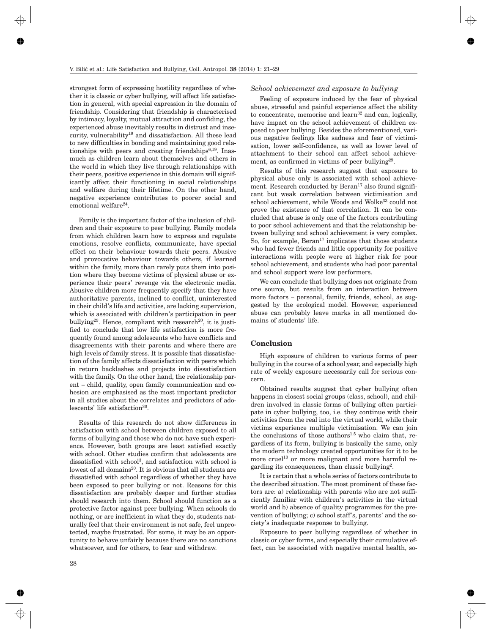strongest form of expressing hostility regardless of whether it is classic or cyber bullying, will affect life satisfaction in general, with special expression in the domain of friendship. Considering that friendship is characterised by intimacy, loyalty, mutual attraction and confiding, the experienced abuse inevitably results in distrust and insecurity, vulnerability19 and dissatisfaction. All these lead to new difficulties in bonding and maintaining good relationships with peers and creating friendships $6,19$ . Inasmuch as children learn about themselves and others in the world in which they live through relationships with their peers, positive experience in this domain will significantly affect their functioning in social relationships and welfare during their lifetime. On the other hand, negative experience contributes to poorer social and emotional welfare<sup>24</sup>.

Family is the important factor of the inclusion of children and their exposure to peer bullying. Family models from which children learn how to express and regulate emotions, resolve conflicts, communicate, have special effect on their behaviour towards their peers. Abusive and provocative behaviour towards others, if learned within the family, more than rarely puts them into position where they become victims of physical abuse or experience their peers' revenge via the electronic media. Abusive children more frequently specify that they have authoritative parents, inclined to conflict, uninterested in their child's life and activities, are lacking supervision, which is associated with children's participation in peer bullying<sup>29</sup>. Hence, compliant with research<sup>20</sup>, it is justified to conclude that low life satisfaction is more frequently found among adolescents who have conflicts and disagreements with their parents and where there are high levels of family stress. It is possible that dissatisfaction of the family affects dissatisfaction with peers which in return backlashes and projects into dissatisfaction with the family. On the other hand, the relationship parent – child, quality, open family communication and cohesion are emphasised as the most important predictor in all studies about the correlates and predictors of adolescents' life satisfaction<sup>30</sup>.

Results of this research do not show differences in satisfaction with school between children exposed to all forms of bullying and those who do not have such experience. However, both groups are least satisfied exactly with school. Other studies confirm that adolescents are dissatisfied with school<sup>3</sup>, and satisfaction with school is lowest of all domains<sup>20</sup>. It is obvious that all students are dissatisfied with school regardless of whether they have been exposed to peer bullying or not. Reasons for this dissatisfaction are probably deeper and further studies should research into them. School should function as a protective factor against peer bullying. When schools do nothing, or are inefficient in what they do, students naturally feel that their environment is not safe, feel unprotected, maybe frustrated. For some, it may be an opportunity to behave unfairly because there are no sanctions whatsoever, and for others, to fear and withdraw.

#### *School achievement and exposure to bullying*

Feeling of exposure induced by the fear of physical abuse, stressful and painful experience affect the ability to concentrate, memorise and  $learn<sup>32</sup>$  and can, logically, have impact on the school achievement of children exposed to peer bullying. Besides the aforementioned, various negative feelings like sadness and fear of victimisation, lower self-confidence, as well as lower level of attachment to their school can affect school achievement, as confirmed in victims of peer bullying<sup>29</sup>.

Results of this research suggest that exposure to physical abuse only is associated with school achievement. Research conducted by  $Bern<sup>17</sup>$  also found significant but weak correlation between victimisation and school achievement, while Woods and Wolke<sup>33</sup> could not prove the existence of that correlation. It can be concluded that abuse is only one of the factors contributing to poor school achievement and that the relationship between bullying and school achievement is very complex. So, for example,  $Bern<sup>17</sup>$  implicates that those students who had fewer friends and little opportunity for positive interactions with people were at higher risk for poor school achievement, and students who had poor parental and school support were low performers.

We can conclude that bullying does not originate from one source, but results from an interaction between more factors – personal, family, friends, school, as suggested by the ecological model. However, experienced abuse can probably leave marks in all mentioned domains of students' life.

## **Conclusion**

High exposure of children to various forms of peer bullying in the course of a school year, and especially high rate of weekly exposure necessarily call for serious concern.

Obtained results suggest that cyber bullying often happens in closest social groups (class, school), and children involved in classic forms of bullying often participate in cyber bullying, too, i.e. they continue with their activities from the real into the virtual world, while their victims experience multiple victimisation. We can join the conclusions of those authors<sup>1,5</sup> who claim that, regardless of its form, bullying is basically the same, only the modern technology created opportunities for it to be more cruel<sup>10</sup> or more malignant and more harmful regarding its consequences, than classic bullying2.

It is certain that a whole series of factors contribute to the described situation. The most prominent of these factors are: a) relationship with parents who are not sufficiently familiar with children's activities in the virtual world and b) absence of quality programmes for the prevention of bullying; c) school staff's, parents' and the society's inadequate response to bullying.

Exposure to peer bullying regardless of whether in classic or cyber forms, and especially their cumulative effect, can be associated with negative mental health, so